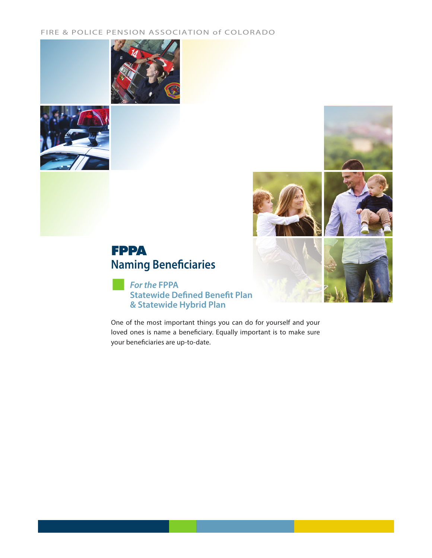### FIRE & POLICE PENSION ASSOCIATION of COLORADO









# **Naming Beneficiaries FPPA**

 *For the* **FPPA Statewide Defined Benefit Plan & Statewide Hybrid Plan**

One of the most important things you can do for yourself and your loved ones is name a beneficiary. Equally important is to make sure your beneficiaries are up-to-date.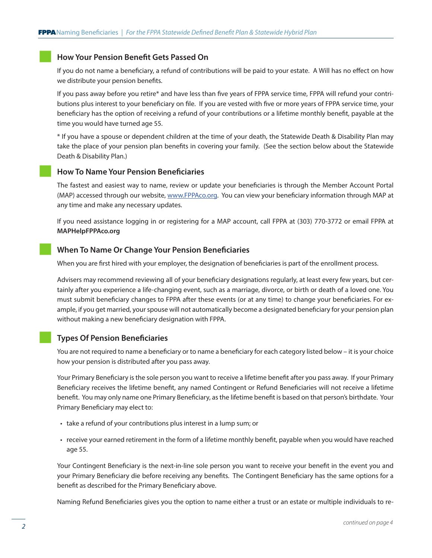### **How Your Pension Benefit Gets Passed On**

If you do not name a beneficiary, a refund of contributions will be paid to your estate. A Will has no effect on how we distribute your pension benefits.

If you pass away before you retire\* and have less than five years of FPPA service time, FPPA will refund your contributions plus interest to your beneficiary on file. If you are vested with five or more years of FPPA service time, your beneficiary has the option of receiving a refund of your contributions or a lifetime monthly benefit, payable at the time you would have turned age 55.

\* If you have a spouse or dependent children at the time of your death, the Statewide Death & Disability Plan may take the place of your pension plan benefits in covering your family. (See the section below about the Statewide Death & Disability Plan.)

### **How To Name Your Pension Beneficiaries**

The fastest and easiest way to name, review or update your beneficiaries is through the Member Account Portal (MAP) accessed through our website, www.FPPAco.org. You can view your beneficiary information through MAP at any time and make any necessary updates.

If you need assistance logging in or registering for a MAP account, call FPPA at (303) 770-3772 or email FPPA at **MAPHelpFPPAco.org**

### **When To Name Or Change Your Pension Beneficiaries**

When you are first hired with your employer, the designation of beneficiaries is part of the enrollment process.

Advisers may recommend reviewing all of your beneficiary designations regularly, at least every few years, but certainly after you experience a life-changing event, such as a marriage, divorce, or birth or death of a loved one. You must submit beneficiary changes to FPPA after these events (or at any time) to change your beneficiaries. For example, if you get married, your spouse will not automatically become a designated beneficiary for your pension plan without making a new beneficiary designation with FPPA.

### **Types Of Pension Beneficiaries**

You are not required to name a beneficiary or to name a beneficiary for each category listed below – it is your choice how your pension is distributed after you pass away.

Your Primary Beneficiary is the sole person you want to receive a lifetime benefit after you pass away. If your Primary Beneficiary receives the lifetime benefit, any named Contingent or Refund Beneficiaries will not receive a lifetime benefit. You may only name one Primary Beneficiary, as the lifetime benefit is based on that person's birthdate. Your Primary Beneficiary may elect to:

- take a refund of your contributions plus interest in a lump sum; or
- receive your earned retirement in the form of a lifetime monthly benefit, payable when you would have reached age 55.

Your Contingent Beneficiary is the next-in-line sole person you want to receive your benefit in the event you and your Primary Beneficiary die before receiving any benefits. The Contingent Beneficiary has the same options for a benefit as described for the Primary Beneficiary above.

Naming Refund Beneficiaries gives you the option to name either a trust or an estate or multiple individuals to re-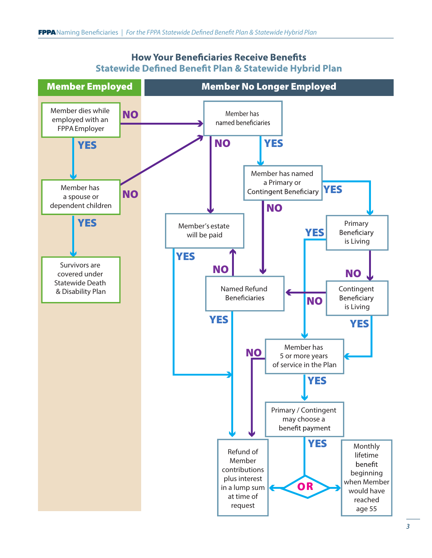

## **How Your Beneficiaries Receive Benefits Statewide Defined Benefit Plan & Statewide Hybrid Plan**